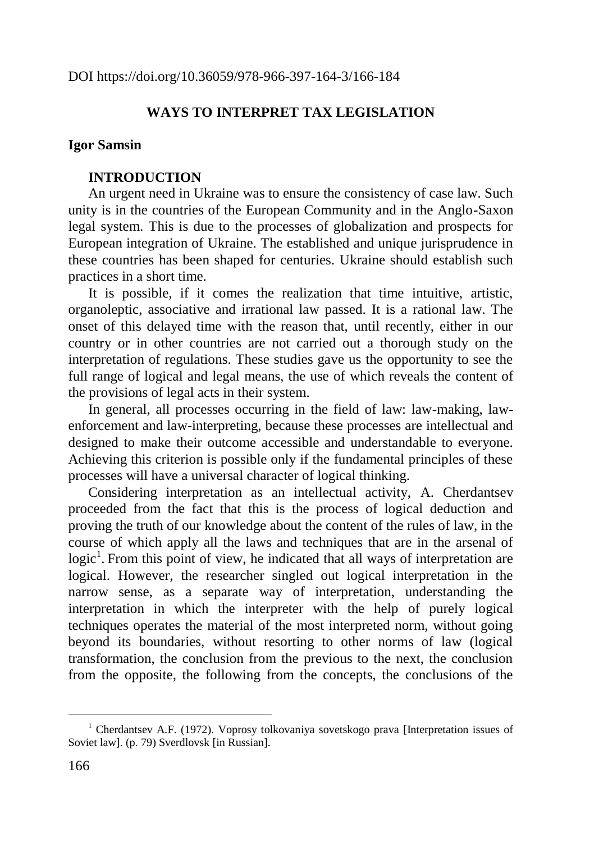DOI https://doi.org/10.36059/978-966-397-164-3/166-184

# **WAYS TO INTERPRET TAX LEGISLATION**

#### **Igor Samsin**

#### **INTRODUCTION**

An urgent need in Ukraine was to ensure the consistency of case law. Such unity is in the countries of the European Community and in the Anglo-Saxon legal system. This is due to the processes of globalization and prospects for European integration of Ukraine. The established and unique jurisprudence in these countries has been shaped for centuries. Ukraine should establish such practices in a short time.

It is possible, if it comes the realization that time intuitive, artistic, organoleptic, associative and irrational law passed. It is a rational law. The onset of this delayed time with the reason that, until recently, either in our country or in other countries are not carried out a thorough study on the interpretation of regulations. These studies gave us the opportunity to see the full range of logical and legal means, the use of which reveals the content of the provisions of legal acts in their system.

In general, all processes occurring in the field of law: law-making, lawenforcement and law-interpreting, because these processes are intellectual and designed to make their outcome accessible and understandable to everyone. Achieving this criterion is possible only if the fundamental principles of these processes will have a universal character of logical thinking.

Considering interpretation as an intellectual activity, A. Cherdantsev proceeded from the fact that this is the process of logical deduction and proving the truth of our knowledge about the content of the rules of law, in the course of which apply all the laws and techniques that are in the arsenal of logic<sup>1</sup>. From this point of view, he indicated that all ways of interpretation are logical. However, the researcher singled out logical interpretation in the narrow sense, as a separate way of interpretation, understanding the interpretation in which the interpreter with the help of purely logical techniques operates the material of the most interpreted norm, without going beyond its boundaries, without resorting to other norms of law (logical transformation, the conclusion from the previous to the next, the conclusion from the opposite, the following from the concepts, the conclusions of the

<sup>&</sup>lt;sup>1</sup> Cherdantsev A.F. (1972). Voprosy tolkovaniya sovetskogo prava [Interpretation issues of Soviet law]. (p. 79) Sverdlovsk [in Russian].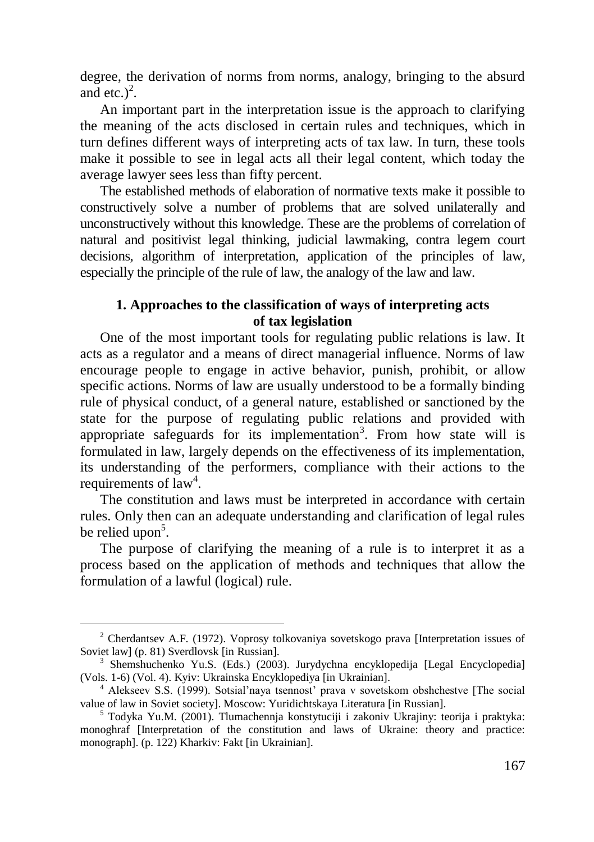degree, the derivation of norms from norms, analogy, bringing to the absurd and etc.)<sup>2</sup>.

An important part in the interpretation issue is the approach to clarifying the meaning of the acts disclosed in certain rules and techniques, which in turn defines different ways of interpreting acts of tax law. In turn, these tools make it possible to see in legal acts all their legal content, which today the average lawyer sees less than fifty percent.

The established methods of elaboration of normative texts make it possible to constructively solve a number of problems that are solved unilaterally and unconstructively without this knowledge. These are the problems of correlation of natural and positivist legal thinking, judicial lawmaking, contra legem court decisions, algorithm of interpretation, application of the principles of law, especially the principle of the rule of law, the analogy of the law and law.

# **1. Approaches to the classification of ways of interpreting acts of tax legislation**

One of the most important tools for regulating public relations is law. It acts as a regulator and a means of direct managerial influence. Norms of law encourage people to engage in active behavior, punish, prohibit, or allow specific actions. Norms of law are usually understood to be a formally binding rule of physical conduct, of a general nature, established or sanctioned by the state for the purpose of regulating public relations and provided with appropriate safeguards for its implementation<sup>3</sup>. From how state will is formulated in law, largely depends on the effectiveness of its implementation, its understanding of the performers, compliance with their actions to the requirements of  $law<sup>4</sup>$ .

The constitution and laws must be interpreted in accordance with certain rules. Only then can an adequate understanding and clarification of legal rules be relied upon<sup>5</sup>.

The purpose of clarifying the meaning of a rule is to interpret it as a process based on the application of methods and techniques that allow the formulation of a lawful (logical) rule.

<sup>2</sup> Cherdantsev A.F. (1972). Voprosy tolkovaniya sovetskogo prava [Interpretation issues of Soviet law] (p. 81) Sverdlovsk [in Russian].

<sup>3</sup> Shemshuchenko Yu.S. (Eds.) (2003). Jurydychna encyklopedija [Legal Encyclopedia] (Vols. 1-6) (Vol. 4). Kyiv: Ukrainska Encyklopediya [in Ukrainian].

<sup>4</sup> Alekseev S.S. (1999). Sotsial'naya tsennost' prava v sovetskom obshchestve [The social value of law in Soviet society]. Moscow: Yuridichtskaya Literatura [in Russian].

 $5$  Todyka Yu.M. (2001). Tlumachennia konstytuciji i zakoniv Ukrajiny: teorija i praktyka: monoghraf [Interpretation of the constitution and laws of Ukraine: theory and practice: monograph]. (p. 122) Kharkiv: Fakt [in Ukrainian].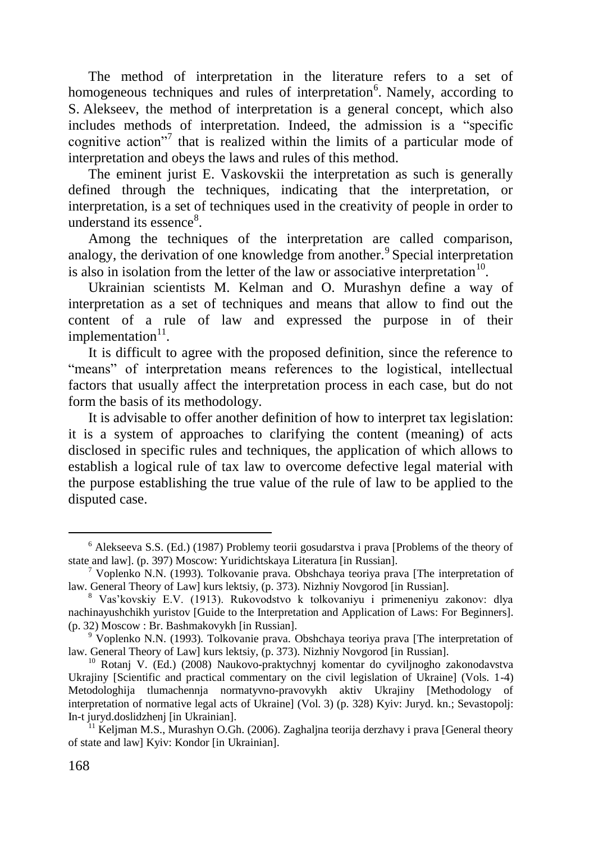The method of interpretation in the literature refers to a set of homogeneous techniques and rules of interpretation<sup>6</sup>. Namely, according to S. Alekseev, the method of interpretation is a general concept, which also includes methods of interpretation. Indeed, the admission is a "specific cognitive action"<sup>7</sup> that is realized within the limits of a particular mode of interpretation and obeys the laws and rules of this method.

The eminent jurist E. Vaskovskii the interpretation as such is generally defined through the techniques, indicating that the interpretation, or interpretation, is a set of techniques used in the creativity of people in order to understand its essence<sup>8</sup>.

Among the techniques of the interpretation are called comparison, analogy, the derivation of one knowledge from another.<sup>9</sup> Special interpretation is also in isolation from the letter of the law or associative interpretation<sup>10</sup>.

Ukrainian scientists M. Kelman and O. Murashyn define a way of interpretation as a set of techniques and means that allow to find out the content of a rule of law and expressed the purpose in of their implementation<sup>11</sup>.

It is difficult to agree with the proposed definition, since the reference to "means" of interpretation means references to the logistical, intellectual factors that usually affect the interpretation process in each case, but do not form the basis of its methodology.

It is advisable to offer another definition of how to interpret tax legislation: it is a system of approaches to clarifying the content (meaning) of acts disclosed in specific rules and techniques, the application of which allows to establish a logical rule of tax law to overcome defective legal material with the purpose establishing the true value of the rule of law to be applied to the disputed case.

<sup>6</sup> Alekseeva S.S. (Ed.) (1987) Problemy teorii gosudarstva i prava [Problems of the theory of state and law]. (p. 397) Moscow: Yuridichtskaya Literatura [in Russian].

<sup>7</sup> Voplenko N.N. (1993). Tolkovanie prava. Obshchaya teoriya prava [The interpretation of law. General Theory of Law] kurs lektsiy, (p. 373). Nizhniy Novgorod [in Russian].

<sup>8</sup> Vas'kovskiy E.V. (1913). Rukovodstvo k tolkovaniyu i primeneniyu zakonov: dlya nachinayushchikh yuristov [Guide to the Interpretation and Application of Laws: For Beginners]. (p. 32) Moscow : Br. Bashmakovykh [in Russian].

 $9\degree$  Voplenko N.N. (1993). Tolkovanie prava. Obshchaya teoriya prava [The interpretation of law. General Theory of Law] kurs lektsiy, (p. 373). Nizhniy Novgorod [in Russian].

<sup>10</sup> Rotanj V. (Ed.) (2008) Naukovo-praktychnyj komentar do cyviljnogho zakonodavstva Ukrajiny [Scientific and practical commentary on the civil legislation of Ukraine] (Vols. 1-4) Metodologhija tlumachennja normatyvno-pravovykh aktiv Ukrajiny [Methodology of interpretation of normative legal acts of Ukraine] (Vol. 3) (p. 328) Kyiv: Juryd. kn.; Sevastopolj: In-t juryd.doslidzhenj [in Ukrainian].

<sup>&</sup>lt;sup>11</sup> Keljman M.S., Murashyn O.Gh. (2006). Zaghaljna teorija derzhavy i prava [General theory of state and law] Kyiv: Kondor [in Ukrainian].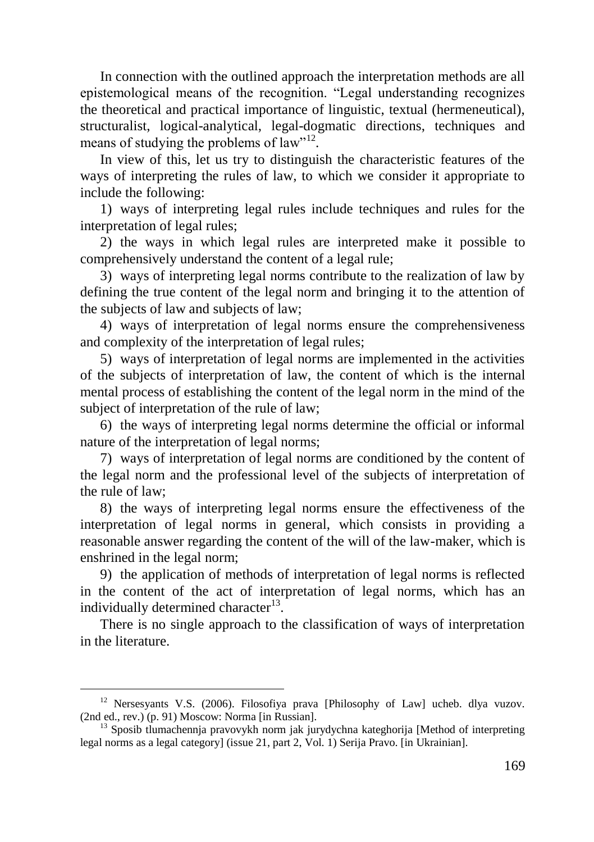In connection with the outlined approach the interpretation methods are all epistemological means of the recognition. "Legal understanding recognizes the theoretical and practical importance of linguistic, textual (hermeneutical), structuralist, logical-analytical, legal-dogmatic directions, techniques and means of studying the problems of law"<sup>12</sup>.

In view of this, let us try to distinguish the characteristic features of the ways of interpreting the rules of law, to which we consider it appropriate to include the following:

1) ways of interpreting legal rules include techniques and rules for the interpretation of legal rules;

2) the ways in which legal rules are interpreted make it possible to comprehensively understand the content of a legal rule;

3) ways of interpreting legal norms contribute to the realization of law by defining the true content of the legal norm and bringing it to the attention of the subjects of law and subjects of law;

4) ways of interpretation of legal norms ensure the comprehensiveness and complexity of the interpretation of legal rules;

5) ways of interpretation of legal norms are implemented in the activities of the subjects of interpretation of law, the content of which is the internal mental process of establishing the content of the legal norm in the mind of the subject of interpretation of the rule of law;

6) the ways of interpreting legal norms determine the official or informal nature of the interpretation of legal norms;

7) ways of interpretation of legal norms are conditioned by the content of the legal norm and the professional level of the subjects of interpretation of the rule of law;

8) the ways of interpreting legal norms ensure the effectiveness of the interpretation of legal norms in general, which consists in providing a reasonable answer regarding the content of the will of the law-maker, which is enshrined in the legal norm;

9) the application of methods of interpretation of legal norms is reflected in the content of the act of interpretation of legal norms, which has an individually determined character<sup>13</sup>.

There is no single approach to the classification of ways of interpretation in the literature.

<sup>&</sup>lt;sup>12</sup> Nersesyants V.S. (2006). Filosofiya prava [Philosophy of Law] ucheb. dlya vuzov. (2nd ed., rev.) (p. 91) Moscow: Norma [in Russian].

<sup>&</sup>lt;sup>13</sup> Sposib tlumachennja pravovykh norm jak jurydychna kateghorija [Method of interpreting legal norms as a legal category] (issue 21, part 2, Vol. 1) Serija Pravo. [in Ukrainian].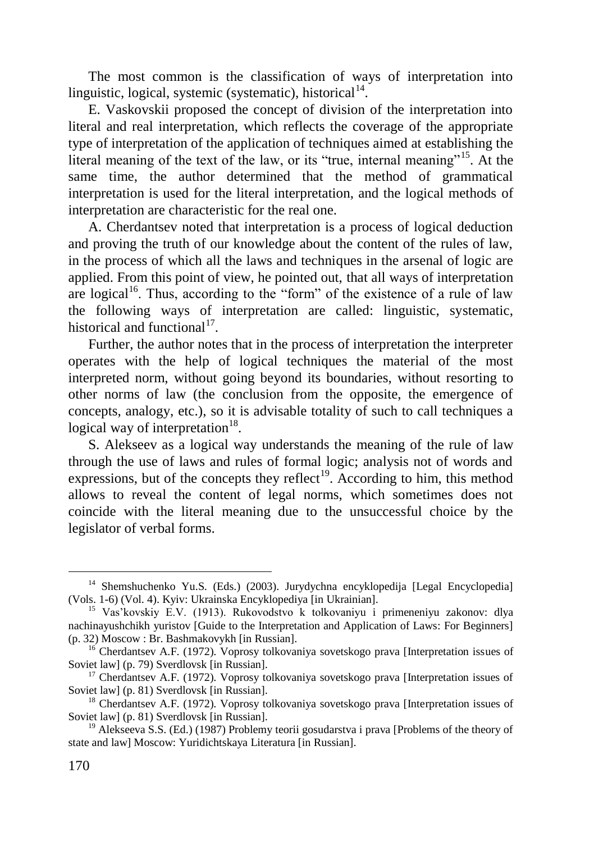The most common is the classification of ways of interpretation into linguistic, logical, systemic (systematic), historical<sup>14</sup>.

E. Vaskovskii proposed the concept of division of the interpretation into literal and real interpretation, which reflects the coverage of the appropriate type of interpretation of the application of techniques aimed at establishing the literal meaning of the text of the law, or its "true, internal meaning"<sup>15</sup>. At the same time, the author determined that the method of grammatical interpretation is used for the literal interpretation, and the logical methods of interpretation are characteristic for the real one.

A. Cherdantsev noted that interpretation is a process of logical deduction and proving the truth of our knowledge about the content of the rules of law, in the process of which all the laws and techniques in the arsenal of logic are applied. From this point of view, he pointed out, that all ways of interpretation are logical<sup>16</sup>. Thus, according to the "form" of the existence of a rule of law the following ways of interpretation are called: linguistic, systematic, historical and functional<sup>17</sup>.

Further, the author notes that in the process of interpretation the interpreter operates with the help of logical techniques the material of the most interpreted norm, without going beyond its boundaries, without resorting to other norms of law (the conclusion from the opposite, the emergence of concepts, analogy, etc.), so it is advisable totality of such to call techniques a logical way of interpretation<sup>18</sup>.

S. Alekseev as a logical way understands the meaning of the rule of law through the use of laws and rules of formal logic; analysis not of words and expressions, but of the concepts they reflect<sup>19</sup>. According to him, this method allows to reveal the content of legal norms, which sometimes does not coincide with the literal meaning due to the unsuccessful choice by the legislator of verbal forms.

<sup>&</sup>lt;sup>14</sup> Shemshuchenko Yu.S. (Eds.) (2003). Jurydychna encyklopedija [Legal Encyclopedia] (Vols. 1-6) (Vol. 4). Kyiv: Ukrainska Encyklopediya [in Ukrainian].

<sup>&</sup>lt;sup>15</sup> Vas'kovskiy E.V. (1913). Rukovodstvo k tolkovaniyu i primeneniyu zakonov: dlya nachinayushchikh yuristov [Guide to the Interpretation and Application of Laws: For Beginners] (p. 32) Moscow : Br. Bashmakovykh [in Russian].

<sup>&</sup>lt;sup>16</sup> Cherdantsev A.F. (1972). Voprosy tolkovaniya sovetskogo prava [Interpretation issues of Soviet law] (p. 79) Sverdlovsk [in Russian].

<sup>&</sup>lt;sup>17</sup> Cherdantsev A.F. (1972). Voprosy tolkovaniya sovetskogo prava [Interpretation issues of Soviet law] (p. 81) Sverdlovsk [in Russian].

<sup>&</sup>lt;sup>18</sup> Cherdantsev A.F. (1972). Voprosy tolkovaniya sovetskogo prava [Interpretation issues of Soviet lawl (p. 81) Sverdlovsk [in Russian].

<sup>&</sup>lt;sup>19</sup> Alekseeva S.S. (Ed.) (1987) Problemy teorii gosudarstva i prava [Problems of the theory of state and law] Moscow: Yuridichtskaya Literatura [in Russian].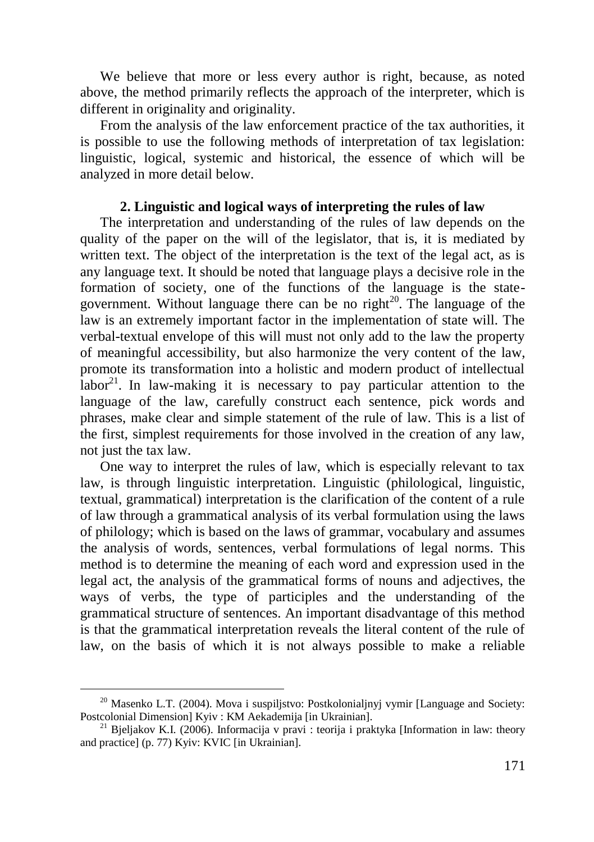We believe that more or less every author is right, because, as noted above, the method primarily reflects the approach of the interpreter, which is different in originality and originality.

From the analysis of the law enforcement practice of the tax authorities, it is possible to use the following methods of interpretation of tax legislation: linguistic, logical, systemic and historical, the essence of which will be analyzed in more detail below.

## **2. Linguistic and logical ways of interpreting the rules of law**

The interpretation and understanding of the rules of law depends on the quality of the paper on the will of the legislator, that is, it is mediated by written text. The object of the interpretation is the text of the legal act, as is any language text. It should be noted that language plays a decisive role in the formation of society, one of the functions of the language is the stategovernment. Without language there can be no right<sup>20</sup>. The language of the law is an extremely important factor in the implementation of state will. The verbal-textual envelope of this will must not only add to the law the property of meaningful accessibility, but also harmonize the very content of the law, promote its transformation into a holistic and modern product of intellectual labor<sup>21</sup>. In law-making it is necessary to pay particular attention to the language of the law, carefully construct each sentence, pick words and phrases, make clear and simple statement of the rule of law. This is a list of the first, simplest requirements for those involved in the creation of any law, not just the tax law.

One way to interpret the rules of law, which is especially relevant to tax law, is through linguistic interpretation. Linguistic (philological, linguistic, textual, grammatical) interpretation is the clarification of the content of a rule of law through a grammatical analysis of its verbal formulation using the laws of philology; which is based on the laws of grammar, vocabulary and assumes the analysis of words, sentences, verbal formulations of legal norms. This method is to determine the meaning of each word and expression used in the legal act, the analysis of the grammatical forms of nouns and adjectives, the ways of verbs, the type of participles and the understanding of the grammatical structure of sentences. An important disadvantage of this method is that the grammatical interpretation reveals the literal content of the rule of law, on the basis of which it is not always possible to make a reliable

 $20$  Masenko L.T. (2004). Mova i suspiljstvo: Postkolonialjnyj vymir [Language and Society: Postcolonial Dimension] Kyiv : KM Aekademija [in Ukrainian].

<sup>&</sup>lt;sup>21</sup> Bjeljakov K.I. (2006). Informacija v pravi : teorija i praktyka [Information in law: theory and practice] (p. 77) Kyiv: KVIC [in Ukrainian].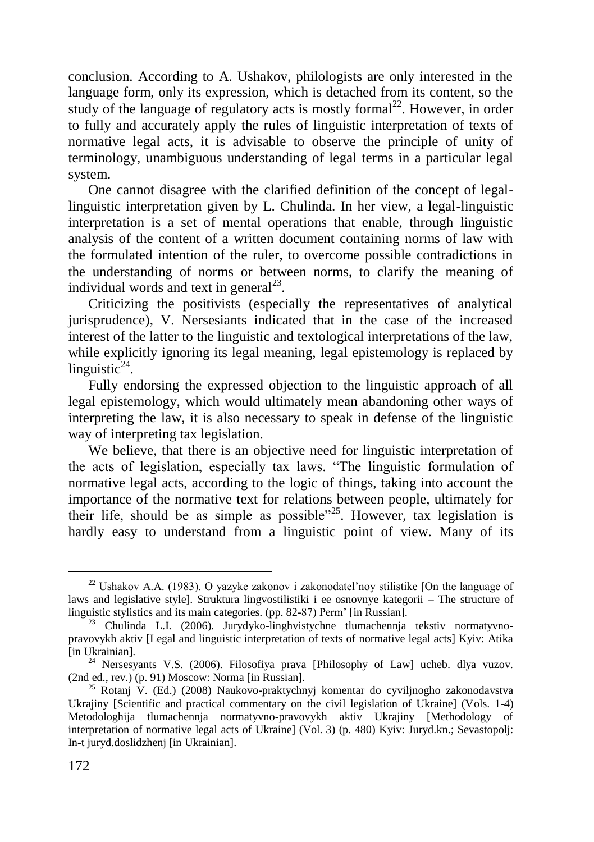conclusion. According to A. Ushakov, philologists are only interested in the language form, only its expression, which is detached from its content, so the study of the language of regulatory acts is mostly formal<sup>22</sup>. However, in order to fully and accurately apply the rules of linguistic interpretation of texts of normative legal acts, it is advisable to observe the principle of unity of terminology, unambiguous understanding of legal terms in a particular legal system.

One cannot disagree with the clarified definition of the concept of legallinguistic interpretation given by L. Chulinda. In her view, a legal-linguistic interpretation is a set of mental operations that enable, through linguistic analysis of the content of a written document containing norms of law with the formulated intention of the ruler, to overcome possible contradictions in the understanding of norms or between norms, to clarify the meaning of individual words and text in general $^{23}$ .

Criticizing the positivists (especially the representatives of analytical jurisprudence), V. Nersesiants indicated that in the case of the increased interest of the latter to the linguistic and textological interpretations of the law, while explicitly ignoring its legal meaning, legal epistemology is replaced by linguistic $24$ .

Fully endorsing the expressed objection to the linguistic approach of all legal epistemology, which would ultimately mean abandoning other ways of interpreting the law, it is also necessary to speak in defense of the linguistic way of interpreting tax legislation.

We believe, that there is an objective need for linguistic interpretation of the acts of legislation, especially tax laws. "The linguistic formulation of normative legal acts, according to the logic of things, taking into account the importance of the normative text for relations between people, ultimately for their life, should be as simple as possible"<sup>25</sup>. However, tax legislation is hardly easy to understand from a linguistic point of view. Many of its

<sup>&</sup>lt;sup>22</sup> Ushakov A.A. (1983). O yazyke zakonov i zakonodatel'noy stilistike [On the language of laws and legislative style]. Struktura lingvostilistiki i ee osnovnye kategorii – The structure of linguistic stylistics and its main categories. (pp. 82-87) Perm' [in Russian].

<sup>23</sup> Chulinda L.I. (2006). Jurydyko-linghvistychne tlumachennja tekstiv normatyvnopravovykh aktiv [Legal and linguistic interpretation of texts of normative legal acts] Kyiv: Atika [in Ukrainian].

<sup>24</sup> Nersesyants V.S. (2006). Filosofiya prava [Philosophy of Law] ucheb. dlya vuzov. (2nd ed., rev.) (p. 91) Moscow: Norma [in Russian].

<sup>&</sup>lt;sup>25</sup> Rotanj V. (Ed.) (2008) Naukovo-praktychnyj komentar do cyviljnogho zakonodavstva Ukrajiny [Scientific and practical commentary on the civil legislation of Ukraine] (Vols. 1-4) Metodologhija tlumachennja normatyvno-pravovykh aktiv Ukrajiny [Methodology of interpretation of normative legal acts of Ukraine] (Vol. 3) (p. 480) Kyiv: Juryd.kn.; Sevastopolj: In-t juryd.doslidzhenj [in Ukrainian].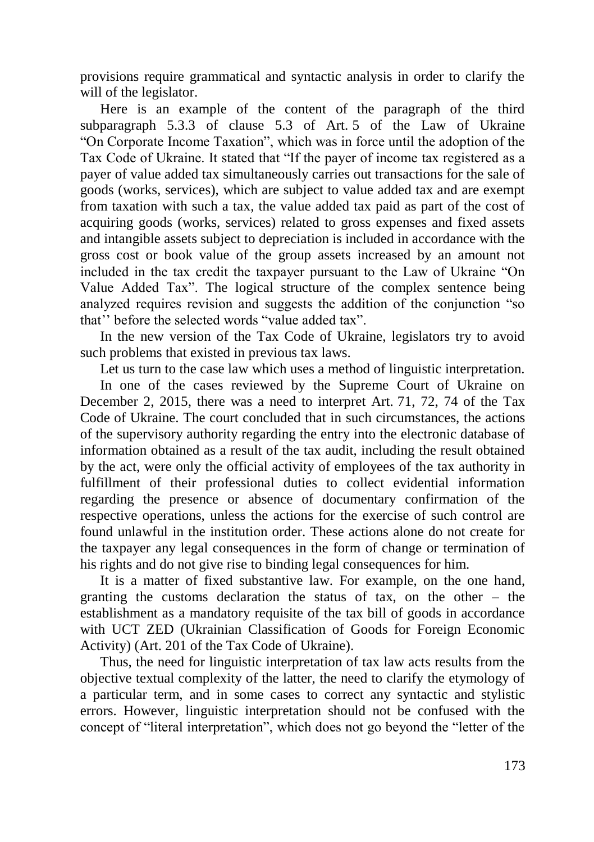provisions require grammatical and syntactic analysis in order to clarify the will of the legislator.

Here is an example of the content of the paragraph of the third subparagraph 5.3.3 of clause 5.3 of Art. 5 of the Law of Ukraine "On Corporate Income Taxation", which was in force until the adoption of the Tax Code of Ukraine. It stated that "If the payer of income tax registered as a payer of value added tax simultaneously carries out transactions for the sale of goods (works, services), which are subject to value added tax and are exempt from taxation with such a tax, the value added tax paid as part of the cost of acquiring goods (works, services) related to gross expenses and fixed assets and intangible assets subject to depreciation is included in accordance with the gross cost or book value of the group assets increased by an amount not included in the tax credit the taxpayer pursuant to the Law of Ukraine "On Value Added Tax". The logical structure of the complex sentence being analyzed requires revision and suggests the addition of the conjunction "so that'' before the selected words "value added tax".

In the new version of the Tax Code of Ukraine, legislators try to avoid such problems that existed in previous tax laws.

Let us turn to the case law which uses a method of linguistic interpretation.

In one of the cases reviewed by the Supreme Court of Ukraine on December 2, 2015, there was a need to interpret Art. 71, 72, 74 of the Tax Code of Ukraine. The court concluded that in such circumstances, the actions of the supervisory authority regarding the entry into the electronic database of information obtained as a result of the tax audit, including the result obtained by the act, were only the official activity of employees of the tax authority in fulfillment of their professional duties to collect evidential information regarding the presence or absence of documentary confirmation of the respective operations, unless the actions for the exercise of such control are found unlawful in the institution order. These actions alone do not create for the taxpayer any legal consequences in the form of change or termination of his rights and do not give rise to binding legal consequences for him.

It is a matter of fixed substantive law. For example, on the one hand, granting the customs declaration the status of tax, on the other – the establishment as a mandatory requisite of the tax bill of goods in accordance with UCT ZED (Ukrainian Classification of Goods for Foreign Economic Activity) (Art. 201 of the Tax Code of Ukraine).

Thus, the need for linguistic interpretation of tax law acts results from the objective textual complexity of the latter, the need to clarify the etymology of a particular term, and in some cases to correct any syntactic and stylistic errors. However, linguistic interpretation should not be confused with the concept of "literal interpretation", which does not go beyond the "letter of the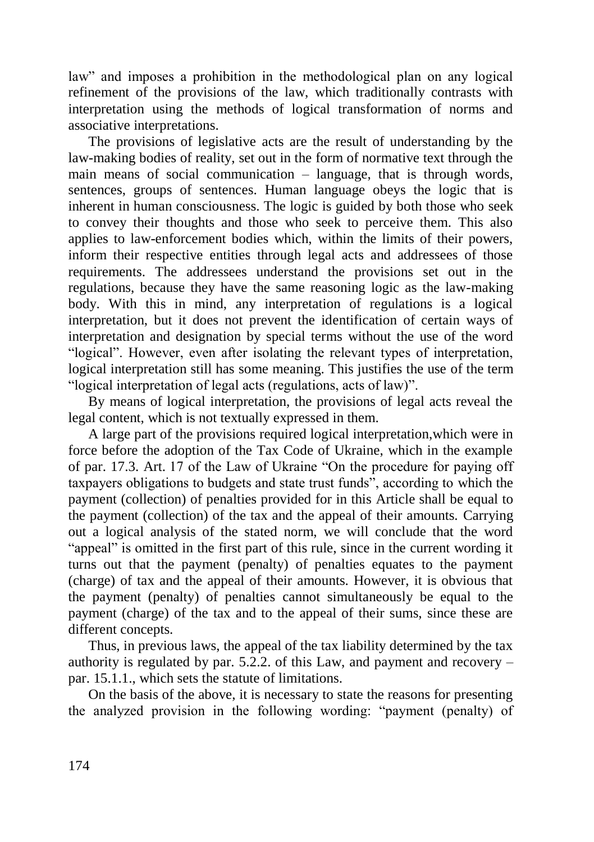law" and imposes a prohibition in the methodological plan on any logical refinement of the provisions of the law, which traditionally contrasts with interpretation using the methods of logical transformation of norms and associative interpretations.

The provisions of legislative acts are the result of understanding by the law-making bodies of reality, set out in the form of normative text through the main means of social communication – language, that is through words, sentences, groups of sentences. Human language obeys the logic that is inherent in human consciousness. The logic is guided by both those who seek to convey their thoughts and those who seek to perceive them. This also applies to law-enforcement bodies which, within the limits of their powers, inform their respective entities through legal acts and addressees of those requirements. The addressees understand the provisions set out in the regulations, because they have the same reasoning logic as the law-making body. With this in mind, any interpretation of regulations is a logical interpretation, but it does not prevent the identification of certain ways of interpretation and designation by special terms without the use of the word "logical". However, even after isolating the relevant types of interpretation, logical interpretation still has some meaning. This justifies the use of the term "logical interpretation of legal acts (regulations, acts of law)".

By means of logical interpretation, the provisions of legal acts reveal the legal content, which is not textually expressed in them.

A large part of the provisions required logical interpretation,which were in force before the adoption of the Tax Code of Ukraine, which in the example of par. 17.3. Art. 17 of the Law of Ukraine "On the procedure for paying off taxpayers obligations to budgets and state trust funds", according to which the payment (collection) of penalties provided for in this Article shall be equal to the payment (collection) of the tax and the appeal of their amounts. Carrying out a logical analysis of the stated norm, we will conclude that the word "appeal" is omitted in the first part of this rule, since in the current wording it turns out that the payment (penalty) of penalties equates to the payment (charge) of tax and the appeal of their amounts. However, it is obvious that the payment (penalty) of penalties cannot simultaneously be equal to the payment (charge) of the tax and to the appeal of their sums, since these are different concepts.

Thus, in previous laws, the appeal of the tax liability determined by the tax authority is regulated by par.  $5.\overline{2}.\overline{2}$  of this Law, and payment and recovery – par. 15.1.1., which sets the statute of limitations.

On the basis of the above, it is necessary to state the reasons for presenting the analyzed provision in the following wording: "payment (penalty) of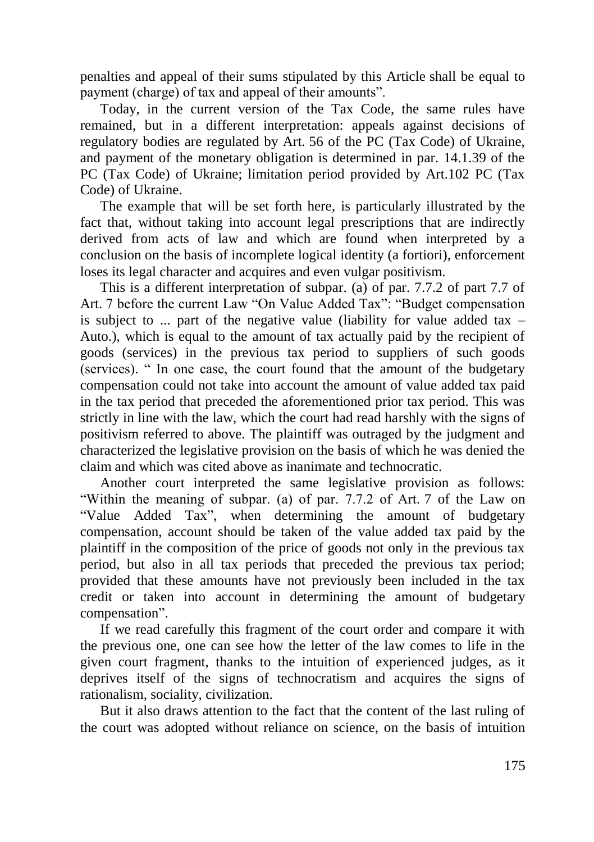penalties and appeal of their sums stipulated by this Article shall be equal to payment (charge) of tax and appeal of their amounts".

Today, in the current version of the Tax Code, the same rules have remained, but in a different interpretation: appeals against decisions of regulatory bodies are regulated by Art. 56 of the PC (Tax Code) of Ukraine, and payment of the monetary obligation is determined in par. 14.1.39 of the PC (Tax Code) of Ukraine; limitation period provided by Art.102 PC (Tax Code) of Ukraine.

The example that will be set forth here, is particularly illustrated by the fact that, without taking into account legal prescriptions that are indirectly derived from acts of law and which are found when interpreted by a conclusion on the basis of incomplete logical identity (a fortiori), enforcement loses its legal character and acquires and even vulgar positivism.

This is a different interpretation of subpar. (a) of par. 7.7.2 of part 7.7 of Art. 7 before the current Law "On Value Added Tax": "Budget compensation is subject to ... part of the negative value (liability for value added tax  $-$ Auto.), which is equal to the amount of tax actually paid by the recipient of goods (services) in the previous tax period to suppliers of such goods (services). " In one case, the court found that the amount of the budgetary compensation could not take into account the amount of value added tax paid in the tax period that preceded the aforementioned prior tax period. This was strictly in line with the law, which the court had read harshly with the signs of positivism referred to above. The plaintiff was outraged by the judgment and characterized the legislative provision on the basis of which he was denied the claim and which was cited above as inanimate and technocratic.

Another court interpreted the same legislative provision as follows: "Within the meaning of subpar. (a) of par. 7.7.2 of Art. 7 of the Law on "Value Added Tax", when determining the amount of budgetary compensation, account should be taken of the value added tax paid by the plaintiff in the composition of the price of goods not only in the previous tax period, but also in all tax periods that preceded the previous tax period; provided that these amounts have not previously been included in the tax credit or taken into account in determining the amount of budgetary compensation".

If we read carefully this fragment of the court order and compare it with the previous one, one can see how the letter of the law comes to life in the given court fragment, thanks to the intuition of experienced judges, as it deprives itself of the signs of technocratism and acquires the signs of rationalism, sociality, civilization.

But it also draws attention to the fact that the content of the last ruling of the court was adopted without reliance on science, on the basis of intuition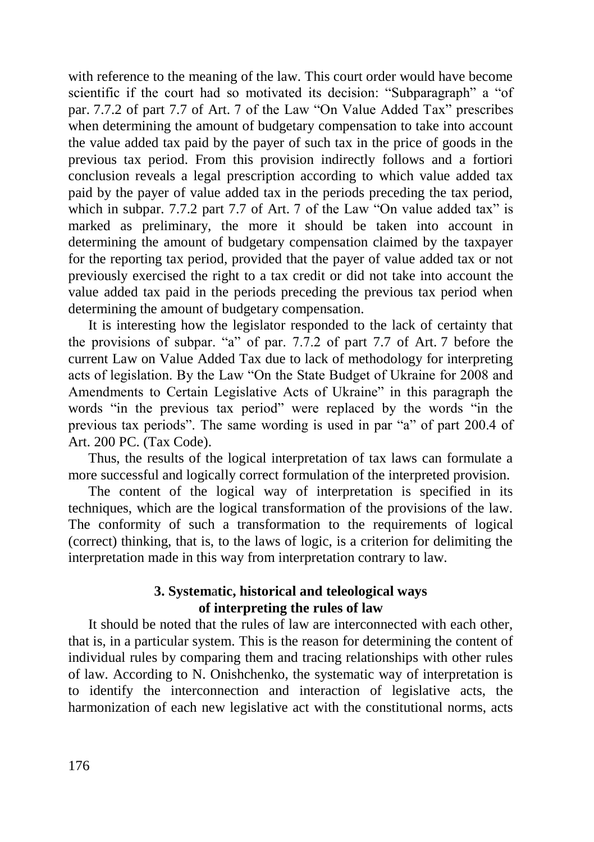with reference to the meaning of the law. This court order would have become scientific if the court had so motivated its decision: "Subparagraph" a "of par. 7.7.2 of part 7.7 of Art. 7 of the Law "On Value Added Tax" prescribes when determining the amount of budgetary compensation to take into account the value added tax paid by the payer of such tax in the price of goods in the previous tax period. From this provision indirectly follows and a fortiori conclusion reveals a legal prescription according to which value added tax paid by the payer of value added tax in the periods preceding the tax period, which in subpar. 7.7.2 part 7.7 of Art. 7 of the Law "On value added tax" is marked as preliminary, the more it should be taken into account in determining the amount of budgetary compensation claimed by the taxpayer for the reporting tax period, provided that the payer of value added tax or not previously exercised the right to a tax credit or did not take into account the value added tax paid in the periods preceding the previous tax period when determining the amount of budgetary compensation.

It is interesting how the legislator responded to the lack of certainty that the provisions of subpar. "a" of par. 7.7.2 of part 7.7 of Art. 7 before the current Law on Value Added Tax due to lack of methodology for interpreting acts of legislation. By the Law "On the State Budget of Ukraine for 2008 and Amendments to Certain Legislative Acts of Ukraine" in this paragraph the words "in the previous tax period" were replaced by the words "in the previous tax periods". The same wording is used in par "a" of part 200.4 of Art. 200 PC. (Tax Code).

Thus, the results of the logical interpretation of tax laws can formulate a more successful and logically correct formulation of the interpreted provision.

The content of the logical way of interpretation is specified in its techniques, which are the logical transformation of the provisions of the law. The conformity of such a transformation to the requirements of logical (correct) thinking, that is, to the laws of logic, is a criterion for delimiting the interpretation made in this way from interpretation contrary to law.

# **3. System**a**tic, historical and teleological ways of interpreting the rules of law**

It should be noted that the rules of law are interconnected with each other, that is, in a particular system. This is the reason for determining the content of individual rules by comparing them and tracing relationships with other rules of law. According to N. Onishchenko, the systematic way of interpretation is to identify the interconnection and interaction of legislative acts, the harmonization of each new legislative act with the constitutional norms, acts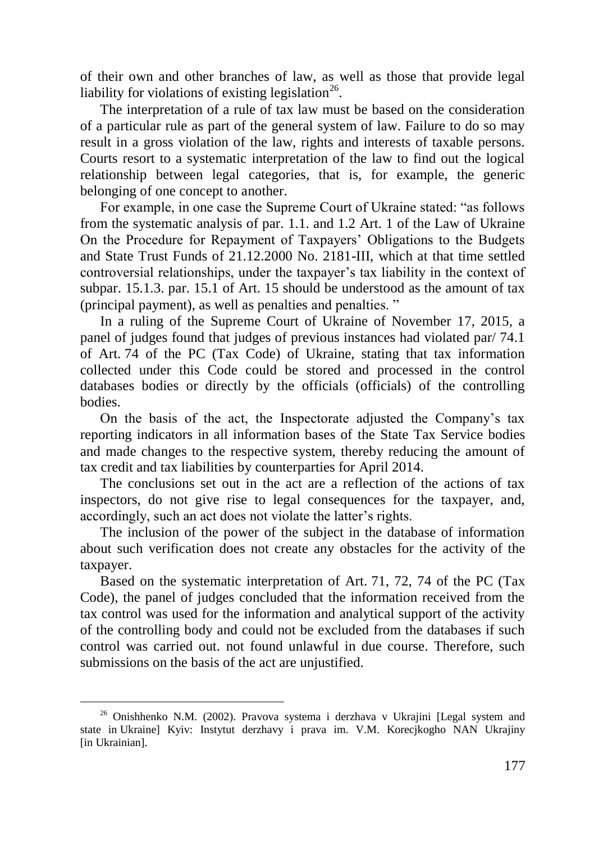of their own and other branches of law, as well as those that provide legal liability for violations of existing legislation<sup>26</sup>.

The interpretation of a rule of tax law must be based on the consideration of a particular rule as part of the general system of law. Failure to do so may result in a gross violation of the law, rights and interests of taxable persons. Courts resort to a systematic interpretation of the law to find out the logical relationship between legal categories, that is, for example, the generic belonging of one concept to another.

For example, in one case the Supreme Court of Ukraine stated: "as follows from the systematic analysis of par. 1.1. and 1.2 Art. 1 of the Law of Ukraine On the Procedure for Repayment of Taxpayers' Obligations to the Budgets and State Trust Funds of 21.12.2000 No. 2181-III, which at that time settled controversial relationships, under the taxpayer's tax liability in the context of subpar. 15.1.3. par. 15.1 of Art. 15 should be understood as the amount of tax (principal payment), as well as penalties and penalties. "

In a ruling of the Supreme Court of Ukraine of November 17, 2015, a panel of judges found that judges of previous instances had violated par/ 74.1 of Art. 74 of the PC (Tax Code) of Ukraine, stating that tax information collected under this Code could be stored and processed in the control databases bodies or directly by the officials (officials) of the controlling bodies.

On the basis of the act, the Inspectorate adjusted the Company's tax reporting indicators in all information bases of the State Tax Service bodies and made changes to the respective system, thereby reducing the amount of tax credit and tax liabilities by counterparties for April 2014.

The conclusions set out in the act are a reflection of the actions of tax inspectors, do not give rise to legal consequences for the taxpayer, and, accordingly, such an act does not violate the latter's rights.

The inclusion of the power of the subject in the database of information about such verification does not create any obstacles for the activity of the taxpayer.

Based on the systematic interpretation of Art. 71, 72, 74 of the PC (Tax Code), the panel of judges concluded that the information received from the tax control was used for the information and analytical support of the activity of the controlling body and could not be excluded from the databases if such control was carried out. not found unlawful in due course. Therefore, such submissions on the basis of the act are unjustified.

 $26$  Onishhenko N.M. (2002). Pravova systema i derzhava v Ukrajini [Legal system and state in Ukraine] Kyiv: Instytut derzhavy i prava im. V.M. Korecjkogho NAN Ukrajiny [in Ukrainian].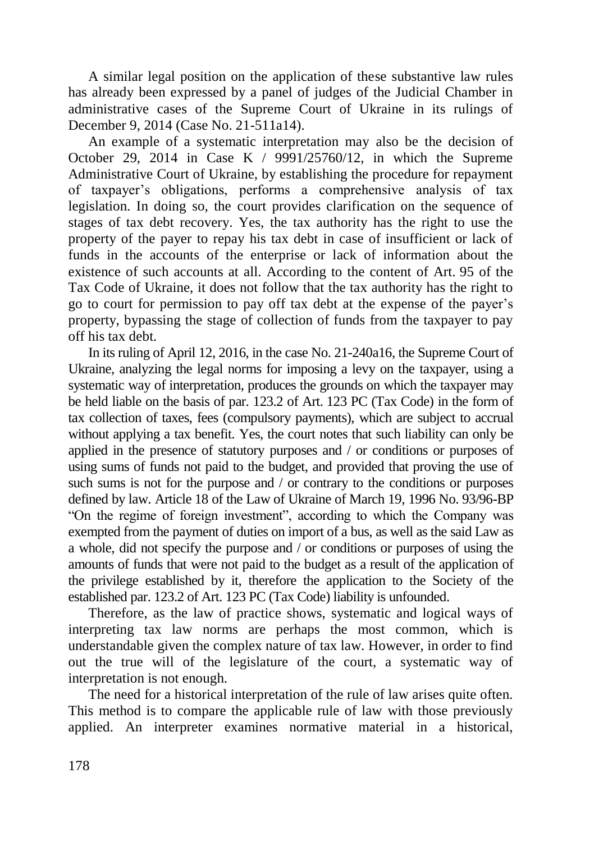A similar legal position on the application of these substantive law rules has already been expressed by a panel of judges of the Judicial Chamber in administrative cases of the Supreme Court of Ukraine in its rulings of December 9, 2014 (Case No. 21-511a14).

An example of a systematic interpretation may also be the decision of October 29, 2014 in Case K  $/$  9991/25760/12, in which the Supreme Administrative Court of Ukraine, by establishing the procedure for repayment of taxpayer's obligations, performs a comprehensive analysis of tax legislation. In doing so, the court provides clarification on the sequence of stages of tax debt recovery. Yes, the tax authority has the right to use the property of the payer to repay his tax debt in case of insufficient or lack of funds in the accounts of the enterprise or lack of information about the existence of such accounts at all. According to the content of Art. 95 of the Tax Code of Ukraine, it does not follow that the tax authority has the right to go to court for permission to pay off tax debt at the expense of the payer's property, bypassing the stage of collection of funds from the taxpayer to pay off his tax debt.

In its ruling of April 12, 2016, in the case No. 21-240a16, the Supreme Court of Ukraine, analyzing the legal norms for imposing a levy on the taxpayer, using a systematic way of interpretation, produces the grounds on which the taxpayer may be held liable on the basis of par. 123.2 of Art. 123 PC (Tax Code) in the form of tax collection of taxes, fees (compulsory payments), which are subject to accrual without applying a tax benefit. Yes, the court notes that such liability can only be applied in the presence of statutory purposes and / or conditions or purposes of using sums of funds not paid to the budget, and provided that proving the use of such sums is not for the purpose and / or contrary to the conditions or purposes defined by law. Article 18 of the Law of Ukraine of March 19, 1996 No. 93/96-BP "On the regime of foreign investment", according to which the Company was exempted from the payment of duties on import of a bus, as well as the said Law as a whole, did not specify the purpose and / or conditions or purposes of using the amounts of funds that were not paid to the budget as a result of the application of the privilege established by it, therefore the application to the Society of the established par. 123.2 of Art. 123 PC (Tax Code) liability is unfounded.

Therefore, as the law of practice shows, systematic and logical ways of interpreting tax law norms are perhaps the most common, which is understandable given the complex nature of tax law. However, in order to find out the true will of the legislature of the court, a systematic way of interpretation is not enough.

The need for a historical interpretation of the rule of law arises quite often. This method is to compare the applicable rule of law with those previously applied. An interpreter examines normative material in a historical,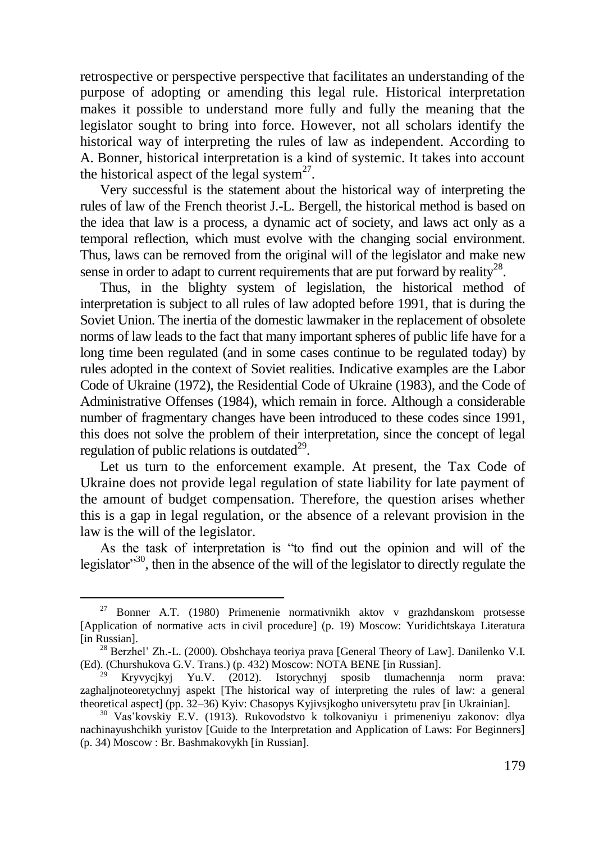retrospective or perspective perspective that facilitates an understanding of the purpose of adopting or amending this legal rule. Historical interpretation makes it possible to understand more fully and fully the meaning that the legislator sought to bring into force. However, not all scholars identify the historical way of interpreting the rules of law as independent. According to A. Bonner, historical interpretation is a kind of systemic. It takes into account the historical aspect of the legal system $2^7$ .

Very successful is the statement about the historical way of interpreting the rules of law of the French theorist J.-L. Bergell, the historical method is based on the idea that law is a process, a dynamic act of society, and laws act only as a temporal reflection, which must evolve with the changing social environment. Thus, laws can be removed from the original will of the legislator and make new sense in order to adapt to current requirements that are put forward by reality<sup>28</sup>.

Thus, in the blighty system of legislation, the historical method of interpretation is subject to all rules of law adopted before 1991, that is during the Soviet Union. The inertia of the domestic lawmaker in the replacement of obsolete norms of law leads to the fact that many important spheres of public life have for a long time been regulated (and in some cases continue to be regulated today) by rules adopted in the context of Soviet realities. Indicative examples are the Labor Code of Ukraine (1972), the Residential Code of Ukraine (1983), and the Code of Administrative Offenses (1984), which remain in force. Although a considerable number of fragmentary changes have been introduced to these codes since 1991, this does not solve the problem of their interpretation, since the concept of legal regulation of public relations is outdated $^{29}$ .

Let us turn to the enforcement example. At present, the Tax Code of Ukraine does not provide legal regulation of state liability for late payment of the amount of budget compensation. Therefore, the question arises whether this is a gap in legal regulation, or the absence of a relevant provision in the law is the will of the legislator.

As the task of interpretation is "to find out the opinion and will of the legislator"<sup>30</sup>, then in the absence of the will of the legislator to directly regulate the

<sup>27</sup> Bonner A.T. (1980) Primenenie normativnikh aktov v grazhdanskom protsesse [Application of normative acts in civil procedure] (p. 19) Moscow: Yuridichtskaya Literatura [in Russian].

<sup>28</sup> Berzhel' Zh.-L. (2000). Obshchaya teoriya prava [General Theory of Law]. Danilenko V.I. (Ed). (Churshukova G.V. Trans.) (p. 432) Moscow: NOTA BENE [in Russian].

<sup>&</sup>lt;sup>29</sup> Kryvycjkyj Yu.V. (2012). Istorychnyj sposib tlumachennja norm prava: zaghaljnoteoretychnyj aspekt [The historical way of interpreting the rules of law: a general theoretical aspect] (pp. 32–36) Kyiv: Chasopys Kyjivsjkogho universytetu prav [in Ukrainian].

<sup>30</sup> Vas'kovskiy E.V. (1913). Rukovodstvo k tolkovaniyu i primeneniyu zakonov: dlya nachinayushchikh yuristov [Guide to the Interpretation and Application of Laws: For Beginners] (p. 34) Moscow : Br. Bashmakovykh [in Russian].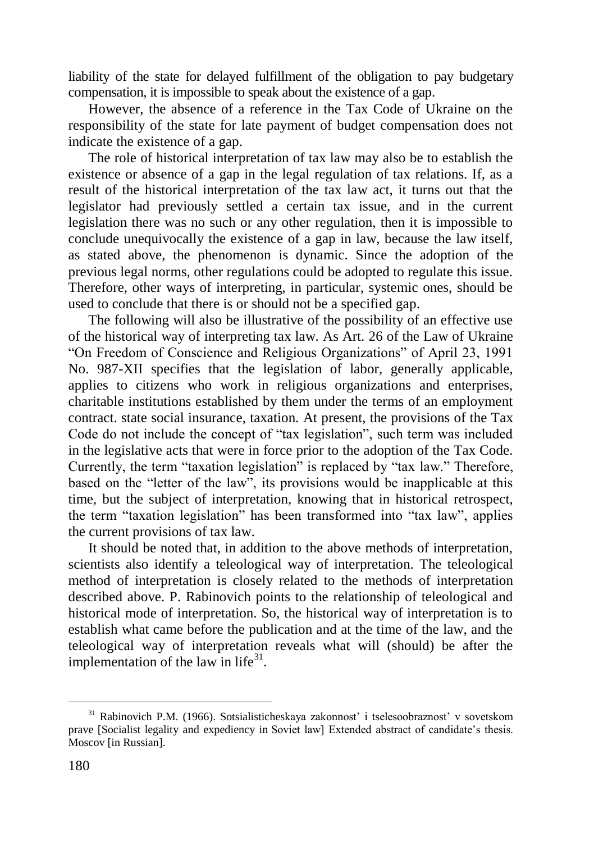liability of the state for delayed fulfillment of the obligation to pay budgetary compensation, it is impossible to speak about the existence of a gap.

However, the absence of a reference in the Tax Code of Ukraine on the responsibility of the state for late payment of budget compensation does not indicate the existence of a gap.

The role of historical interpretation of tax law may also be to establish the existence or absence of a gap in the legal regulation of tax relations. If, as a result of the historical interpretation of the tax law act, it turns out that the legislator had previously settled a certain tax issue, and in the current legislation there was no such or any other regulation, then it is impossible to conclude unequivocally the existence of a gap in law, because the law itself, as stated above, the phenomenon is dynamic. Since the adoption of the previous legal norms, other regulations could be adopted to regulate this issue. Therefore, other ways of interpreting, in particular, systemic ones, should be used to conclude that there is or should not be a specified gap.

The following will also be illustrative of the possibility of an effective use of the historical way of interpreting tax law. As Art. 26 of the Law of Ukraine "On Freedom of Conscience and Religious Organizations" of April 23, 1991 No. 987-XII specifies that the legislation of labor, generally applicable, applies to citizens who work in religious organizations and enterprises, charitable institutions established by them under the terms of an employment contract. state social insurance, taxation. At present, the provisions of the Tax Code do not include the concept of "tax legislation", such term was included in the legislative acts that were in force prior to the adoption of the Tax Code. Currently, the term "taxation legislation" is replaced by "tax law." Therefore, based on the "letter of the law", its provisions would be inapplicable at this time, but the subject of interpretation, knowing that in historical retrospect, the term "taxation legislation" has been transformed into "tax law", applies the current provisions of tax law.

It should be noted that, in addition to the above methods of interpretation, scientists also identify a teleological way of interpretation. The teleological method of interpretation is closely related to the methods of interpretation described above. P. Rabinovich points to the relationship of teleological and historical mode of interpretation. So, the historical way of interpretation is to establish what came before the publication and at the time of the law, and the teleological way of interpretation reveals what will (should) be after the implementation of the law in life $31$ .

<sup>31</sup> Rabinovich P.M. (1966). Sotsialisticheskaya zakonnost' i tselesoobraznost' v sovetskom prave [Socialist legality and expediency in Soviet law] Extended abstract of candidate's thesis. Moscov [in Russian].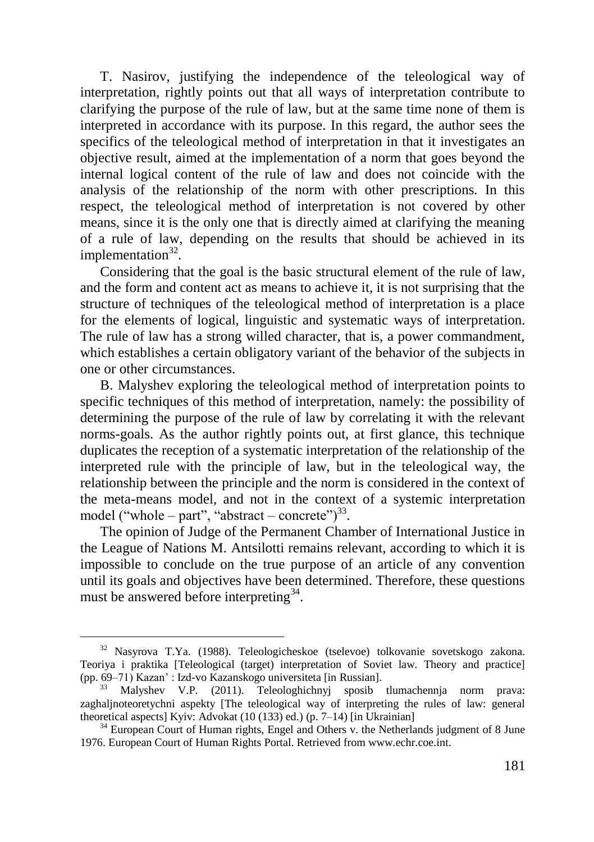T. Nasirov, justifying the independence of the teleological way of interpretation, rightly points out that all ways of interpretation contribute to clarifying the purpose of the rule of law, but at the same time none of them is interpreted in accordance with its purpose. In this regard, the author sees the specifics of the teleological method of interpretation in that it investigates an objective result, aimed at the implementation of a norm that goes beyond the internal logical content of the rule of law and does not coincide with the analysis of the relationship of the norm with other prescriptions. In this respect, the teleological method of interpretation is not covered by other means, since it is the only one that is directly aimed at clarifying the meaning of a rule of law, depending on the results that should be achieved in its implementation<sup>32</sup>.

Considering that the goal is the basic structural element of the rule of law, and the form and content act as means to achieve it, it is not surprising that the structure of techniques of the teleological method of interpretation is a place for the elements of logical, linguistic and systematic ways of interpretation. The rule of law has a strong willed character, that is, a power commandment, which establishes a certain obligatory variant of the behavior of the subjects in one or other circumstances.

B. Malyshev exploring the teleological method of interpretation points to specific techniques of this method of interpretation, namely: the possibility of determining the purpose of the rule of law by correlating it with the relevant norms-goals. As the author rightly points out, at first glance, this technique duplicates the reception of a systematic interpretation of the relationship of the interpreted rule with the principle of law, but in the teleological way, the relationship between the principle and the norm is considered in the context of the meta-means model, and not in the context of a systemic interpretation model ("whole – part", "abstract – concrete") $^{33}$ .

The opinion of Judge of the Permanent Chamber of International Justice in the League of Nations M. Antsilotti remains relevant, according to which it is impossible to conclude on the true purpose of an article of any convention until its goals and objectives have been determined. Therefore, these questions must be answered before interpreting<sup>34</sup>.

<sup>32</sup> Nasyrova T.Ya. (1988). Teleologicheskoe (tselevoe) tolkovanie sovetskogo zakona. Teoriya i praktika [Teleological (target) interpretation of Soviet law. Theory and practice] (pp. 69–71) Kazan' : Izd-vo Kazanskogo universiteta [in Russian].

<sup>33</sup> Malyshev V.P. (2011). Teleologhichnyj sposib tlumachennja norm prava: zaghaljnoteoretychni aspekty [The teleological way of interpreting the rules of law: general theoretical aspects] Kyiv: Advokat (10 (133) ed.) (p. 7–14) [in Ukrainian]

<sup>&</sup>lt;sup>34</sup> European Court of Human rights, Engel and Others v. the Netherlands judgment of 8 June 1976. European Court of Human Rights Portal. Retrieved from www.echr.coe.int.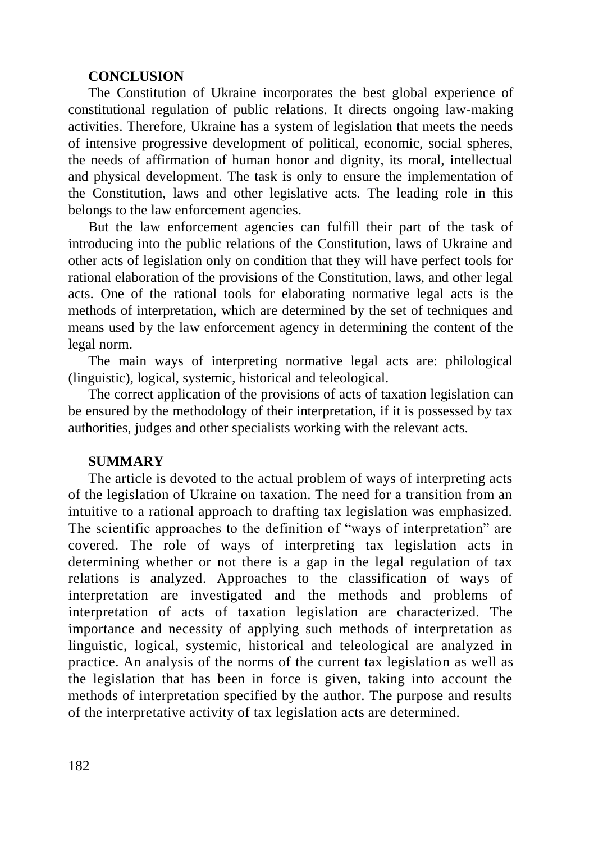#### **CONCLUSION**

The Constitution of Ukraine incorporates the best global experience of constitutional regulation of public relations. It directs ongoing law-making activities. Therefore, Ukraine has a system of legislation that meets the needs of intensive progressive development of political, economic, social spheres, the needs of affirmation of human honor and dignity, its moral, intellectual and physical development. The task is only to ensure the implementation of the Constitution, laws and other legislative acts. The leading role in this belongs to the law enforcement agencies.

But the law enforcement agencies can fulfill their part of the task of introducing into the public relations of the Constitution, laws of Ukraine and other acts of legislation only on condition that they will have perfect tools for rational elaboration of the provisions of the Constitution, laws, and other legal acts. One of the rational tools for elaborating normative legal acts is the methods of interpretation, which are determined by the set of techniques and means used by the law enforcement agency in determining the content of the legal norm.

The main ways of interpreting normative legal acts are: philological (linguistic), logical, systemic, historical and teleological.

The correct application of the provisions of acts of taxation legislation can be ensured by the methodology of their interpretation, if it is possessed by tax authorities, judges and other specialists working with the relevant acts.

## **SUMMARY**

The article is devoted to the actual problem of ways of interpreting acts of the legislation of Ukraine on taxation. The need for a transition from an intuitive to a rational approach to drafting tax legislation was emphasized. The scientific approaches to the definition of "ways of interpretation" are covered. The role of ways of interpreting tax legislation acts in determining whether or not there is a gap in the legal regulation of tax relations is analyzed. Approaches to the classification of ways of interpretation are investigated and the methods and problems of interpretation of acts of taxation legislation are characterized. The importance and necessity of applying such methods of interpretation as linguistic, logical, systemic, historical and teleological are analyzed in practice. An analysis of the norms of the current tax legislation as well as the legislation that has been in force is given, taking into account the methods of interpretation specified by the author. The purpose and results of the interpretative activity of tax legislation acts are determined.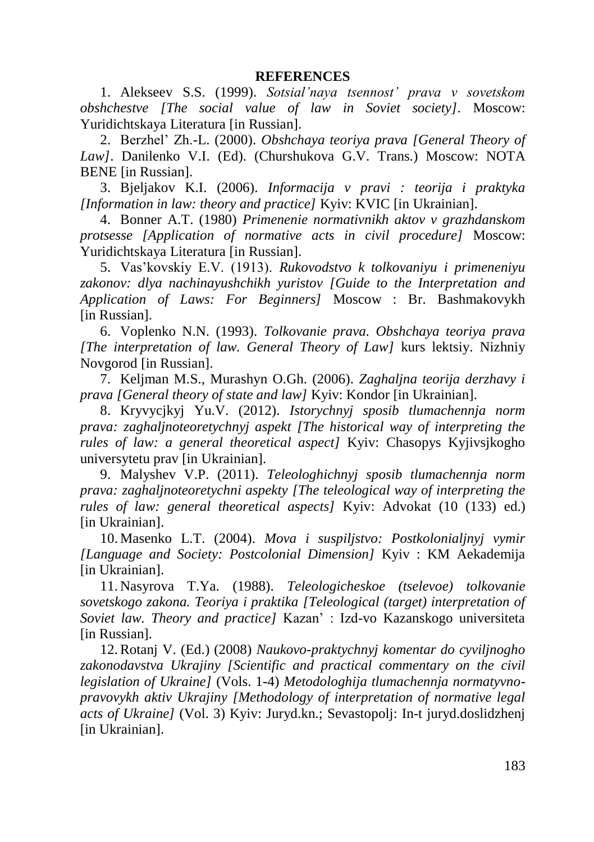1. Alekseev S.S. (1999). *Sotsial'naya tsennost' prava v sovetskom obshchestve [The social value of law in Soviet society]*. Moscow: Yuridichtskaya Literatura [in Russian].

2. Berzhel' Zh.-L. (2000). *Obshchaya teoriya prava [General Theory of Law]*. Danilenko V.I. (Ed). (Churshukova G.V. Trans.) Moscow: NOTA BENE [in Russian].

3. Bjeljakov K.I. (2006). *Informacija v pravi : teorija i praktyka [Information in law: theory and practice]* Kyiv: KVIC [in Ukrainian].

4. Bonner A.T. (1980) *Primenenie normativnikh aktov v grazhdanskom protsesse [Application of normative acts in civil procedure]* Moscow: Yuridichtskaya Literatura [in Russian].

5. Vas'kovskiy E.V. (1913). *Rukovodstvo k tolkovaniyu i primeneniyu zakonov: dlya nachinayushchikh yuristov [Guide to the Interpretation and Application of Laws: For Beginners]* Moscow : Br. Bashmakovykh [in Russian].

6. Voplenko N.N. (1993). *Tolkovanie prava. Obshchaya teoriya prava [The interpretation of law. General Theory of Law]* kurs lektsiy. Nizhniy Novgorod [in Russian].

7. Keljman M.S., Murashyn O.Gh. (2006). *Zaghaljna teorija derzhavy i prava [General theory of state and law]* Kyiv: Kondor [in Ukrainian].

8. Kryvycjkyj Yu.V. (2012). *Istorychnyj sposib tlumachennja norm prava: zaghaljnoteoretychnyj aspekt [The historical way of interpreting the rules of law: a general theoretical aspect]* Kyiv: Chasopys Kyjivsjkogho universytetu prav [in Ukrainian].

9. Malyshev V.P. (2011). *Teleologhichnyj sposib tlumachennja norm prava: zaghaljnoteoretychni aspekty [The teleological way of interpreting the rules of law: general theoretical aspects]* Kyiv: Advokat (10 (133) ed.) [in Ukrainian].

10. Masenko L.T. (2004). *Mova i suspiljstvo: Postkolonialjnyj vymir [Language and Society: Postcolonial Dimension]* Kyiv : KM Aekademija [in Ukrainian].

11. Nasyrova T.Ya. (1988). *Teleologicheskoe (tselevoe) tolkovanie sovetskogo zakona. Teoriya i praktika [Teleological (target) interpretation of Soviet law. Theory and practice]* Kazan' : Izd-vo Kazanskogo universiteta [in Russian].

12.Rotanj V. (Ed.) (2008) *Naukovo-praktychnyj komentar do cyviljnogho*  zakonodavstva Ukrajiny *[Scientific and practical commentary on the civil legislation of Ukraine]* (Vols. 1-4) *Metodologhija tlumachennja normatyvnopravovykh aktiv Ukrajiny [Methodology of interpretation of normative legal acts of Ukraine]* (Vol. 3) Kyiv: Juryd.kn.; Sevastopolj: In-t juryd.doslidzhenj [in Ukrainian].